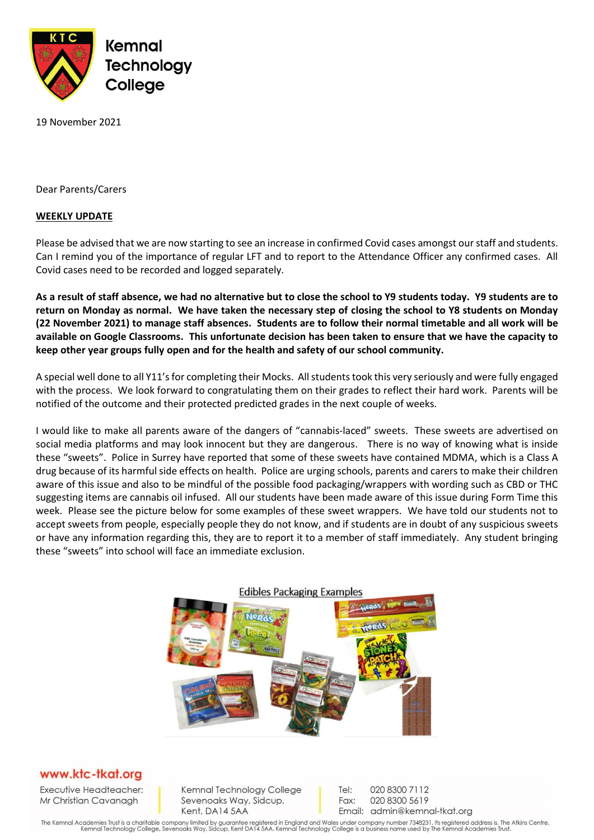

19 November 2021

Dear Parents/Carers

## **WEEKLY UPDATE**

Please be advised that we are now starting to see an increase in confirmed Covid cases amongst our staff and students. Can I remind you of the importance of regular LFT and to report to the Attendance Officer any confirmed cases. All Covid cases need to be recorded and logged separately.

**As a result of staff absence, we had no alternative but to close the school to Y9 students today. Y9 students are to return on Monday as normal. We have taken the necessary step of closing the school to Y8 students on Monday (22 November 2021) to manage staff absences. Students are to follow their normal timetable and all work will be available on Google Classrooms. This unfortunate decision has been taken to ensure that we have the capacity to keep other year groups fully open and for the health and safety of our school community.** 

A special well done to all Y11's for completing their Mocks. All studentstook this very seriously and were fully engaged with the process. We look forward to congratulating them on their grades to reflect their hard work. Parents will be notified of the outcome and their protected predicted grades in the next couple of weeks.

I would like to make all parents aware of the dangers of "cannabis-laced" sweets. These sweets are advertised on social media platforms and may look innocent but they are dangerous. There is no way of knowing what is inside these "sweets". Police in Surrey have reported that some of these sweets have contained MDMA, which is a Class A drug because of its harmful side effects on health. Police are urging schools, parents and carers to make their children aware of this issue and also to be mindful of the possible food packaging/wrappers with wording such as CBD or THC suggesting items are cannabis oil infused. All our students have been made aware of this issue during Form Time this week. Please see the picture below for some examples of these sweet wrappers. We have told our students not to accept sweets from people, especially people they do not know, and if students are in doubt of any suspicious sweets or have any information regarding this, they are to report it to a member of staff immediately. Any student bringing these "sweets" into school will face an immediate exclusion.



## www.ktc-tkat.org

Executive Headteacher: Mr Christian Cavanagh

Kemnal Technology College Sevenoaks Way, Sidcup, Kent, DA14 5AA

Tel: 020 8300 7112 Fax: 020 8300 5619 Email: admin@kemnal-tkat.org

The Kemnal Academies Trust is a charitable company limited by guarantee registered in England and Wales under company number 7348231. Its registered address is, The Atkins Centre,<br>Kemnal Technology College, Sevenoaks Way,